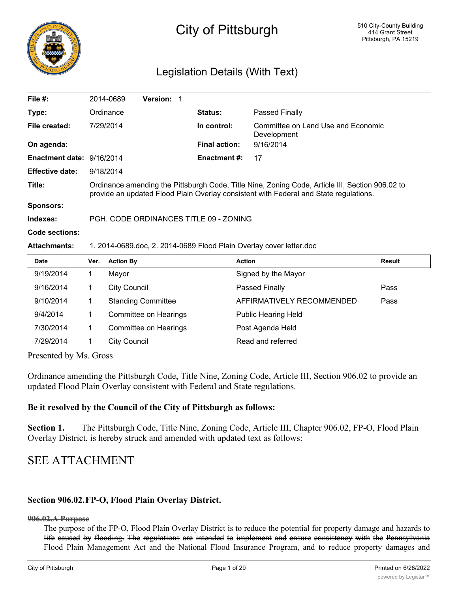

# City of Pittsburgh

## Legislation Details (With Text)

| File $#$ :                | 2014-0689                                                                                                                                                                                | <b>Version:</b> |                      |                                                   |  |  |  |
|---------------------------|------------------------------------------------------------------------------------------------------------------------------------------------------------------------------------------|-----------------|----------------------|---------------------------------------------------|--|--|--|
| Type:                     | Ordinance                                                                                                                                                                                |                 | <b>Status:</b>       | Passed Finally                                    |  |  |  |
| File created:             | 7/29/2014                                                                                                                                                                                |                 | In control:          | Committee on Land Use and Economic<br>Development |  |  |  |
| On agenda:                |                                                                                                                                                                                          |                 | <b>Final action:</b> | 9/16/2014                                         |  |  |  |
| Enactment date: 9/16/2014 |                                                                                                                                                                                          |                 | <b>Enactment #:</b>  | 17                                                |  |  |  |
| <b>Effective date:</b>    | 9/18/2014                                                                                                                                                                                |                 |                      |                                                   |  |  |  |
| Title:                    | Ordinance amending the Pittsburgh Code, Title Nine, Zoning Code, Article III, Section 906.02 to<br>provide an updated Flood Plain Overlay consistent with Federal and State regulations. |                 |                      |                                                   |  |  |  |
| <b>Sponsors:</b>          |                                                                                                                                                                                          |                 |                      |                                                   |  |  |  |
| Indexes:                  | PGH, CODE ORDINANCES TITLE 09 - ZONING                                                                                                                                                   |                 |                      |                                                   |  |  |  |
| Code sections:            |                                                                                                                                                                                          |                 |                      |                                                   |  |  |  |
| <b>Attachments:</b>       | 1. 2014-0689.doc, 2. 2014-0689 Flood Plain Overlay cover letter.doc                                                                                                                      |                 |                      |                                                   |  |  |  |
| <b>Date</b>               | <b>Action By</b><br>Ver.                                                                                                                                                                 |                 | <b>Action</b>        | <b>Result</b>                                     |  |  |  |
| 0/10/2014                 | $\overline{1}$<br>$M$ ovor                                                                                                                                                               |                 |                      | Cianod by the Moyer                               |  |  |  |

| 9/19/2014 | Mayor                        | Signed by the Mayor        |      |
|-----------|------------------------------|----------------------------|------|
| 9/16/2014 | <b>City Council</b>          | Passed Finally             | Pass |
| 9/10/2014 | <b>Standing Committee</b>    | AFFIRMATIVELY RECOMMENDED  | Pass |
| 9/4/2014  | <b>Committee on Hearings</b> | <b>Public Hearing Held</b> |      |
| 7/30/2014 | <b>Committee on Hearings</b> | Post Agenda Held           |      |
| 7/29/2014 | <b>City Council</b>          | Read and referred          |      |
|           |                              |                            |      |

Presented by Ms. Gross

Ordinance amending the Pittsburgh Code, Title Nine, Zoning Code, Article III, Section 906.02 to provide an updated Flood Plain Overlay consistent with Federal and State regulations.

## **Be it resolved by the Council of the City of Pittsburgh as follows:**

**Section 1.** The Pittsburgh Code, Title Nine, Zoning Code, Article III, Chapter 906.02, FP-O, Flood Plain Overlay District, is hereby struck and amended with updated text as follows:

## SEE ATTACHMENT

## **Section 906.02.FP-O, Flood Plain Overlay District.**

**906.02.A Purpose**

The purpose of the FP-O, Flood Plain Overlay District is to reduce the potential for property damage and hazards to life caused by flooding. The regulations are intended to implement and ensure consistency with the Pennsylvania Flood Plain Management Act and the National Flood Insurance Program, and to reduce property damages and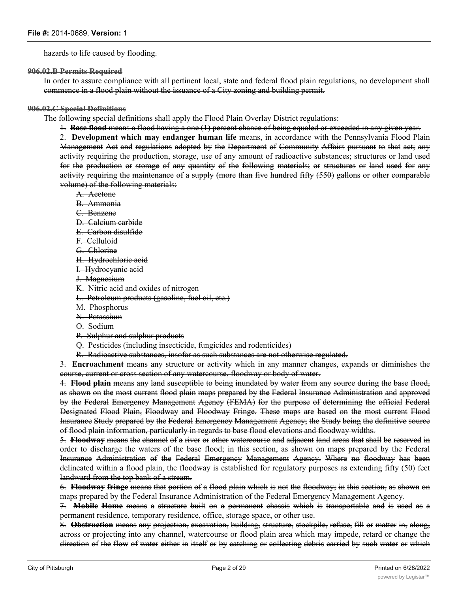#### hazards to life caused by flooding.

**906.02.B Permits Required**

In order to assure compliance with all pertinent local, state and federal flood plain regulations, no development shall commence in a flood plain without the issuance of a City zoning and building permit.

#### **906.02.C Special Definitions**

The following special definitions shall apply the Flood Plain Overlay District regulations:

1. **Base flood** means a flood having a one (1) percent chance of being equaled or exceeded in any given year.

2. **Development which may endanger human life** means, in accordance with the Pennsylvania Flood Plain Management Act and regulations adopted by the Department of Community Affairs pursuant to that act; any activity requiring the production, storage, use of any amount of radioactive substances; structures or land used for the production or storage of any quantity of the following materials; or structures or land used for any activity requiring the maintenance of a supply (more than five hundred fifty (550) gallons or other comparable volume) of the following materials:

A. Acetone

- B. Ammonia
- C. Benzene
- D. Calcium carbide
- E. Carbon disulfide
- F. Celluloid
- G. Chlorine
- H. Hydrochloric acid
- I. Hydrocyanic acid
- J. Magnesium
- K. Nitric acid and oxides of nitrogen
- L. Petroleum products (gasoline, fuel oil, etc.)
- M. Phosphorus
- N. Potassium
- O. Sodium
- P. Sulphur and sulphur products
- Q. Pesticides (including insecticide, fungicides and rodenticides)
- R. Radioactive substances, insofar as such substances are not otherwise regulated.

3. **Encroachment** means any structure or activity which in any manner changes, expands or diminishes the course, current or cross section of any watercourse, floodway or body of water.

4. **Flood plain** means any land susceptible to being inundated by water from any source during the base flood, as shown on the most current flood plain maps prepared by the Federal Insurance Administration and approved by the Federal Emergency Management Agency (FEMA) for the purpose of determining the official Federal Designated Flood Plain, Floodway and Floodway Fringe. These maps are based on the most current Flood Insurance Study prepared by the Federal Emergency Management Agency; the Study being the definitive source of flood plain information, particularly in regards to base flood elevations and floodway widths.

5. **Floodway** means the channel of a river or other watercourse and adjacent land areas that shall be reserved in order to discharge the waters of the base flood; in this section, as shown on maps prepared by the Federal Insurance Administration of the Federal Emergency Management Agency. Where no floodway has been delineated within a flood plain, the floodway is established for regulatory purposes as extending fifty (50) feet landward from the top bank of a stream.

6. **Floodway fringe** means that portion of a flood plain which is not the floodway; in this section, as shown on maps prepared by the Federal Insurance Administration of the Federal Emergency Management Agency.

7. **Mobile Home** means a structure built on a permanent chassis which is transportable and is used as a permanent residence, temporary residence, office, storage space, or other use.

8. **Obstruction** means any projection, excavation, building, structure, stockpile, refuse, fill or matter in, along, across or projecting into any channel, watercourse or flood plain area which may impede, retard or change the direction of the flow of water either in itself or by catching or collecting debris carried by such water or which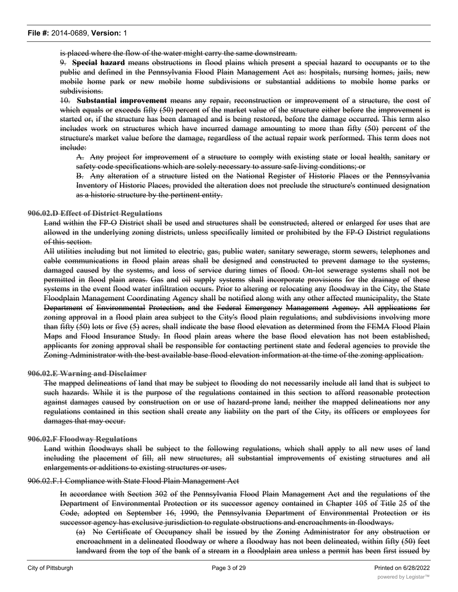is placed where the flow of the water might carry the same downstream.

9. **Special hazard** means obstructions in flood plains which present a special hazard to occupants or to the public and defined in the Pennsylvania Flood Plain Management Act as: hospitals, nursing homes, jails, new mobile home park or new mobile home subdivisions or substantial additions to mobile home parks or subdivisions.

10. **Substantial improvement** means any repair, reconstruction or improvement of a structure, the cost of which equals or exceeds fifty (50) percent of the market value of the structure either before the improvement is started or, if the structure has been damaged and is being restored, before the damage occurred. This term also includes work on structures which have incurred damage amounting to more than fifty (50) percent of the structure's market value before the damage, regardless of the actual repair work performed. This term does not include:

A. Any project for improvement of a structure to comply with existing state or local health, sanitary or safety code specifications which are solely necessary to assure safe living conditions; or

B. Any alteration of a structure listed on the National Register of Historic Places or the Pennsylvania Inventory of Historic Places, provided the alteration does not preclude the structure's continued designation as a historic structure by the pertinent entity.

#### **906.02.D Effect of District Regulations**

Land within the FP-O District shall be used and structures shall be constructed, altered or enlarged for uses that are allowed in the underlying zoning districts, unless specifically limited or prohibited by the FP-O District regulations of this section.

All utilities including but not limited to electric, gas, public water, sanitary sewerage, storm sewers, telephones and cable communications in flood plain areas shall be designed and constructed to prevent damage to the systems, damaged caused by the systems, and loss of service during times of flood. On-lot sewerage systems shall not be permitted in flood plain areas. Gas and oil supply systems shall incorporate provisions for the drainage of these systems in the event flood water infiltration occurs. Prior to altering or relocating any floodway in the City, the State Floodplain Management Coordinating Agency shall be notified along with any other affected municipality, the State Department of Environmental Protection, and the Federal Emergency Management Agency. All applications for zoning approval in a flood plain area subject to the City's flood plain regulations, and subdivisions involving more than fifty (50) lots or five (5) acres, shall indicate the base flood elevation as determined from the FEMA Flood Plain Maps and Flood Insurance Study. In flood plain areas where the base flood elevation has not been established, applicants for zoning approval shall be responsible for contacting pertinent state and federal agencies to provide the Zoning Administrator with the best available base flood elevation information at the time of the zoning application.

#### **906.02.E Warning and Disclaimer**

The mapped delineations of land that may be subject to flooding do not necessarily include all land that is subject to such hazards. While it is the purpose of the regulations contained in this section to afford reasonable protection against damages caused by construction on or use of hazard-prone land, neither the mapped delineations nor any regulations contained in this section shall create any liability on the part of the City, its officers or employees for damages that may occur.

#### **906.02.F Floodway Regulations**

Land within floodways shall be subject to the following regulations, which shall apply to all new uses of land including the placement of fill, all new structures, all substantial improvements of existing structures and all enlargements or additions to existing structures or uses.

906.02.F.1 Compliance with State Flood Plain Management Act

In accordance with Section 302 of the Pennsylvania Flood Plain Management Act and the regulations of the Department of Environmental Protection or its successor agency contained in Chapter 105 of Title 25 of the Code, adopted on September 16, 1990, the Pennsylvania Department of Environmental Protection or its successor agency has exclusive jurisdiction to regulate obstructions and encroachments in floodways.

(a) No Certificate of Occupancy shall be issued by the Zoning Administrator for any obstruction or encroachment in a delineated floodway or where a floodway has not been delineated, within fifty (50) feet landward from the top of the bank of a stream in a floodplain area unless a permit has been first issued by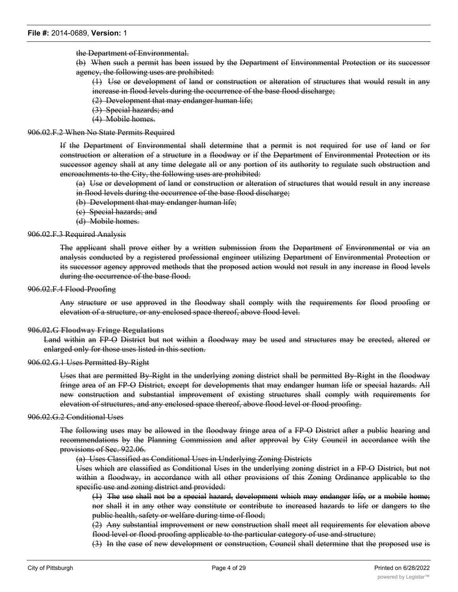the Department of Environmental.

(b) When such a permit has been issued by the Department of Environmental Protection or its successor agency, the following uses are prohibited:

(1) Use or development of land or construction or alteration of structures that would result in any increase in flood levels during the occurrence of the base flood discharge;

(2) Development that may endanger human life;

- (3) Special hazards; and
- (4) Mobile homes.

#### 906.02.F.2 When No State Permits Required

If the Department of Environmental shall determine that a permit is not required for use of land or for construction or alteration of a structure in a floodway or if the Department of Environmental Protection or its successor agency shall at any time delegate all or any portion of its authority to regulate such obstruction and encroachments to the City, the following uses are prohibited:

(a) Use or development of land or construction or alteration of structures that would result in any increase in flood levels during the occurrence of the base flood discharge;

- (b) Development that may endanger human life;
- (c) Special hazards; and
- (d) Mobile homes.

#### 906.02.F.3 Required Analysis

The applicant shall prove either by a written submission from the Department of Environmental or via an analysis conducted by a registered professional engineer utilizing Department of Environmental Protection or its successor agency approved methods that the proposed action would not result in any increase in flood levels during the occurrence of the base flood.

#### 906.02.F.4 Flood-Proofing

Any structure or use approved in the floodway shall comply with the requirements for flood proofing or elevation of a structure, or any enclosed space thereof, above flood level.

#### **906.02.G Floodway Fringe Regulations**

Land within an FP-O District but not within a floodway may be used and structures may be erected, altered or enlarged only for those uses listed in this section.

#### 906.02.G.1 Uses Permitted By-Right

Uses that are permitted By-Right in the underlying zoning district shall be permitted By-Right in the floodway fringe area of an FP-O District, except for developments that may endanger human life or special hazards. All new construction and substantial improvement of existing structures shall comply with requirements for elevation of structures, and any enclosed space thereof, above flood level or flood proofing.

#### 906.02.G.2 Conditional Uses

The following uses may be allowed in the floodway fringe area of a FP-O District after a public hearing and recommendations by the Planning Commission and after approval by City Council in accordance with the provisions of Sec. 922.06.

(a) Uses Classified as Conditional Uses in Underlying Zoning Districts

Uses which are classified as Conditional Uses in the underlying zoning district in a FP-O District, but not within a floodway, in accordance with all other provisions of this Zoning Ordinance applicable to the specific use and zoning district and provided:

(1) The use shall not be a special hazard, development which may endanger life, or a mobile home; nor shall it in any other way constitute or contribute to increased hazards to life or dangers to the public health, safety or welfare during time of flood;

(2) Any substantial improvement or new construction shall meet all requirements for elevation above flood level or flood proofing applicable to the particular category of use and structure;

(3) In the case of new development or construction, Council shall determine that the proposed use is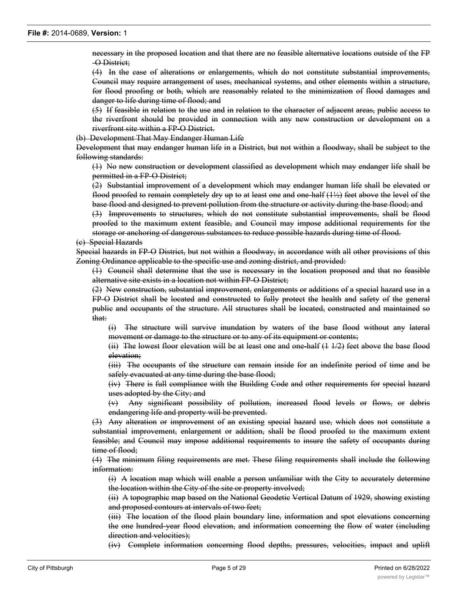necessary in the proposed location and that there are no feasible alternative locations outside of the FP -O District;

(4) In the case of alterations or enlargements, which do not constitute substantial improvements, Council may require arrangement of uses, mechanical systems, and other elements within a structure, for flood proofing or both, which are reasonably related to the minimization of flood damages and danger to life during time of flood; and

(5) If feasible in relation to the use and in relation to the character of adjacent areas, public access to the riverfront should be provided in connection with any new construction or development on a riverfront site within a FP-O District.

(b) Development That May Endanger Human Life

Development that may endanger human life in a District, but not within a floodway, shall be subject to the following standards:

(1) No new construction or development classified as development which may endanger life shall be permitted in a FP-O District;

(2) Substantial improvement of a development which may endanger human life shall be elevated or flood proofed to remain completely dry up to at least one and one-half (1½) feet above the level of the base flood and designed to prevent pollution from the structure or activity during the base flood; and

(3) Improvements to structures, which do not constitute substantial improvements, shall be flood proofed to the maximum extent feasible, and Council may impose additional requirements for the storage or anchoring of dangerous substances to reduce possible hazards during time of flood.

(c) Special Hazards

Special hazards in FP-O District, but not within a floodway, in accordance with all other provisions of this Zoning Ordinance applicable to the specific use and zoning district, and provided:

(1) Council shall determine that the use is necessary in the location proposed and that no feasible alternative site exists in a location not within FP-O District;

(2) New construction, substantial improvement, enlargements or additions of a special hazard use in a FP-O District shall be located and constructed to fully protect the health and safety of the general public and occupants of the structure. All structures shall be located, constructed and maintained so that:

(i) The structure will survive inundation by waters of the base flood without any lateral movement or damage to the structure or to any of its equipment or contents;

(ii) The lowest floor elevation will be at least one and one-half (1 1/2) feet above the base flood elevation;

(iii) The occupants of the structure can remain inside for an indefinite period of time and be safely evacuated at any time during the base flood;

(iv) There is full compliance with the Building Code and other requirements for special hazard uses adopted by the City; and

(v) Any significant possibility of pollution, increased flood levels or flows, or debris endangering life and property will be prevented.

(3) Any alteration or improvement of an existing special hazard use, which does not constitute a substantial improvement, enlargement or addition, shall be flood proofed to the maximum extent feasible; and Council may impose additional requirements to insure the safety of occupants during time of flood;

(4) The minimum filing requirements are met. These filing requirements shall include the following information:

(i) A location map which will enable a person unfamiliar with the City to accurately determine the location within the City of the site or property involved;

(ii) A topographic map based on the National Geodetic Vertical Datum of 1929, showing existing and proposed contours at intervals of two feet;

(iii) The location of the flood plain boundary line, information and spot elevations concerning the one hundred-year flood elevation, and information concerning the flow of water (including direction and velocities);

(iv) Complete information concerning flood depths, pressures, velocities, impact and uplift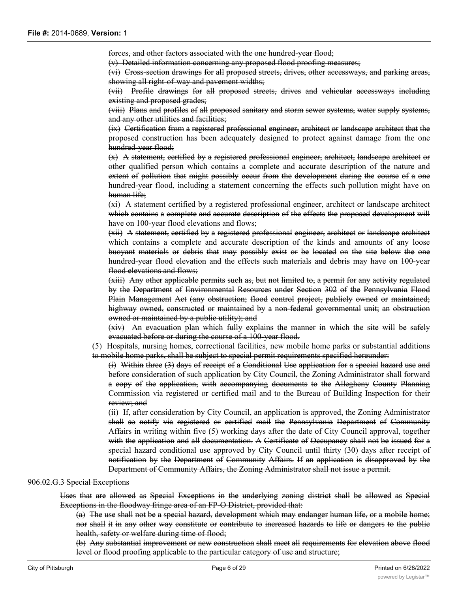forces, and other factors associated with the one hundred-year flood;

(v) Detailed information concerning any proposed flood proofing measures;

(vi) Cross-section drawings for all proposed streets, drives, other accessways, and parking areas, showing all right-of-way and pavement widths;

(vii) Profile drawings for all proposed streets, drives and vehicular accessways including existing and proposed grades;

(viii) Plans and profiles of all proposed sanitary and storm sewer systems, water supply systems, and any other utilities and facilities;

(ix) Certification from a registered professional engineer, architect or landscape architect that the proposed construction has been adequately designed to protect against damage from the one hundred-year flood;

(x) A statement, certified by a registered professional engineer, architect, landscape architect or other qualified person which contains a complete and accurate description of the nature and extent of pollution that might possibly occur from the development during the course of a one hundred-year flood, including a statement concerning the effects such pollution might have on human life;

(xi) A statement certified by a registered professional engineer, architect or landscape architect which contains a complete and accurate description of the effects the proposed development will have on 100-year flood elevations and flows;

(xii) A statement, certified by a registered professional engineer, architect or landscape architect which contains a complete and accurate description of the kinds and amounts of any loose buoyant materials or debris that may possibly exist or be located on the site below the one hundred-year flood elevation and the effects such materials and debris may have on 100-year flood elevations and flows:

(xiii) Any other applicable permits such as, but not limited to, a permit for any activity regulated by the Department of Environmental Resources under Section 302 of the Pennsylvania Flood Plain Management Act (any obstruction; flood control project, publicly owned or maintained; highway owned, constructed or maintained by a non-federal governmental unit; an obstruction owned or maintained by a public utility); and

(xiv) An evacuation plan which fully explains the manner in which the site will be safely evacuated before or during the course of a 100-year flood.

(5) Hospitals, nursing homes, correctional facilities, new mobile home parks or substantial additions to mobile home parks, shall be subject to special permit requirements specified hereunder:

(i) Within three (3) days of receipt of a Conditional Use application for a special hazard use and before consideration of such application by City Council, the Zoning Administrator shall forward a copy of the application, with accompanying documents to the Allegheny County Planning Commission via registered or certified mail and to the Bureau of Building Inspection for their review; and

(ii) If, after consideration by City Council, an application is approved, the Zoning Administrator shall so notify via registered or certified mail the Pennsylvania Department of Community Affairs in writing within five (5) working days after the date of City Council approval, together with the application and all documentation. A Certificate of Occupancy shall not be issued for a special hazard conditional use approved by City Council until thirty (30) days after receipt of notification by the Department of Community Affairs. If an application is disapproved by the Department of Community Affairs, the Zoning Administrator shall not issue a permit.

#### 906.02.G.3 Special Exceptions

Uses that are allowed as Special Exceptions in the underlying zoning district shall be allowed as Special Exceptions in the floodway fringe area of an FP-O District, provided that:

(a) The use shall not be a special hazard, development which may endanger human life, or a mobile home; nor shall it in any other way constitute or contribute to increased hazards to life or dangers to the public health, safety or welfare during time of flood;

(b) Any substantial improvement or new construction shall meet all requirements for elevation above flood level or flood proofing applicable to the particular category of use and structure;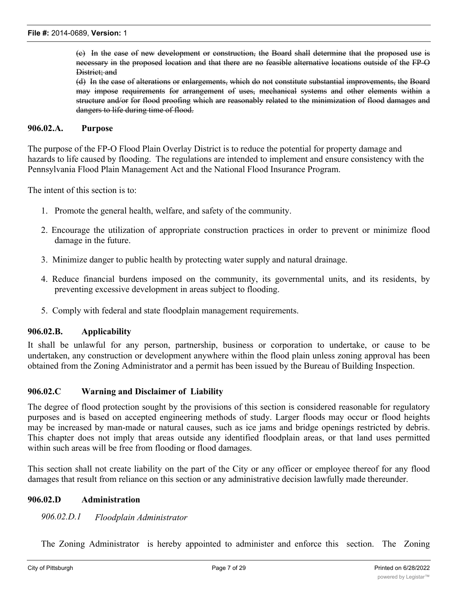(c) In the case of new development or construction, the Board shall determine that the proposed use is necessary in the proposed location and that there are no feasible alternative locations outside of the FP-O District; and

(d) In the case of alterations or enlargements, which do not constitute substantial improvements, the Board may impose requirements for arrangement of uses, mechanical systems and other elements within a structure and/or for flood proofing which are reasonably related to the minimization of flood damages and dangers to life during time of flood.

#### **906.02.A. Purpose**

The purpose of the FP-O Flood Plain Overlay District is to reduce the potential for property damage and hazards to life caused by flooding. The regulations are intended to implement and ensure consistency with the Pennsylvania Flood Plain Management Act and the National Flood Insurance Program.

The intent of this section is to:

- 1. Promote the general health, welfare, and safety of the community.
- 2. Encourage the utilization of appropriate construction practices in order to prevent or minimize flood damage in the future.
- 3. Minimize danger to public health by protecting water supply and natural drainage.
- 4. Reduce financial burdens imposed on the community, its governmental units, and its residents, by preventing excessive development in areas subject to flooding.
- 5. Comply with federal and state floodplain management requirements.

#### **906.02.B. Applicability**

It shall be unlawful for any person, partnership, business or corporation to undertake, or cause to be undertaken, any construction or development anywhere within the flood plain unless zoning approval has been obtained from the Zoning Administrator and a permit has been issued by the Bureau of Building Inspection.

#### **906.02.C Warning and Disclaimer of Liability**

The degree of flood protection sought by the provisions of this section is considered reasonable for regulatory purposes and is based on accepted engineering methods of study. Larger floods may occur or flood heights may be increased by man-made or natural causes, such as ice jams and bridge openings restricted by debris. This chapter does not imply that areas outside any identified floodplain areas, or that land uses permitted within such areas will be free from flooding or flood damages.

This section shall not create liability on the part of the City or any officer or employee thereof for any flood damages that result from reliance on this section or any administrative decision lawfully made thereunder.

#### **906.02.D Administration**

#### *906.02.D.1 Floodplain Administrator*

The Zoning Administrator is hereby appointed to administer and enforce this section. The Zoning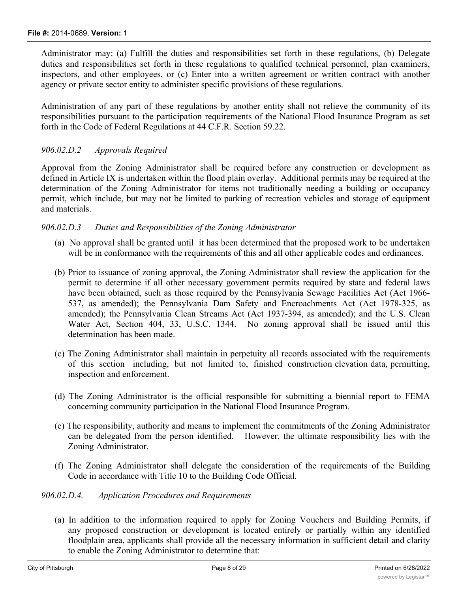Administrator may: (a) Fulfill the duties and responsibilities set forth in these regulations, (b) Delegate duties and responsibilities set forth in these regulations to qualified technical personnel, plan examiners, inspectors, and other employees, or (c) Enter into a written agreement or written contract with another agency or private sector entity to administer specific provisions of these regulations.

Administration of any part of these regulations by another entity shall not relieve the community of its responsibilities pursuant to the participation requirements of the National Flood Insurance Program as set forth in the Code of Federal Regulations at 44 C.F.R. Section 59.22.

## *906.02.D.2 Approvals Required*

Approval from the Zoning Administrator shall be required before any construction or development as defined in Article IX is undertaken within the flood plain overlay. Additional permits may be required at the determination of the Zoning Administrator for items not traditionally needing a building or occupancy permit, which include, but may not be limited to parking of recreation vehicles and storage of equipment and materials.

## *906.02.D.3 Duties and Responsibilities of the Zoning Administrator*

- (a) No approval shall be granted until it has been determined that the proposed work to be undertaken will be in conformance with the requirements of this and all other applicable codes and ordinances.
- (b) Prior to issuance of zoning approval, the Zoning Administrator shall review the application for the permit to determine if all other necessary government permits required by state and federal laws have been obtained, such as those required by the Pennsylvania Sewage Facilities Act (Act 1966-537, as amended); the Pennsylvania Dam Safety and Encroachments Act (Act 1978-325, as amended); the Pennsylvania Clean Streams Act (Act 1937-394, as amended); and the U.S. Clean Water Act, Section 404, 33, U.S.C. 1344. No zoning approval shall be issued until this determination has been made.
- (c) The Zoning Administrator shall maintain in perpetuity all records associated with the requirements of this section including, but not limited to, finished construction elevation data, permitting, inspection and enforcement.
- (d) The Zoning Administrator is the official responsible for submitting a biennial report to FEMA concerning community participation in the National Flood Insurance Program.
- (e) The responsibility, authority and means to implement the commitments of the Zoning Administrator can be delegated from the person identified. However, the ultimate responsibility lies with the Zoning Administrator.
- (f) The Zoning Administrator shall delegate the consideration of the requirements of the Building Code in accordance with Title 10 to the Building Code Official.

## *906.02.D.4. Application Procedures and Requirements*

(a) In addition to the information required to apply for Zoning Vouchers and Building Permits, if any proposed construction or development is located entirely or partially within any identified floodplain area, applicants shall provide all the necessary information in sufficient detail and clarity to enable the Zoning Administrator to determine that: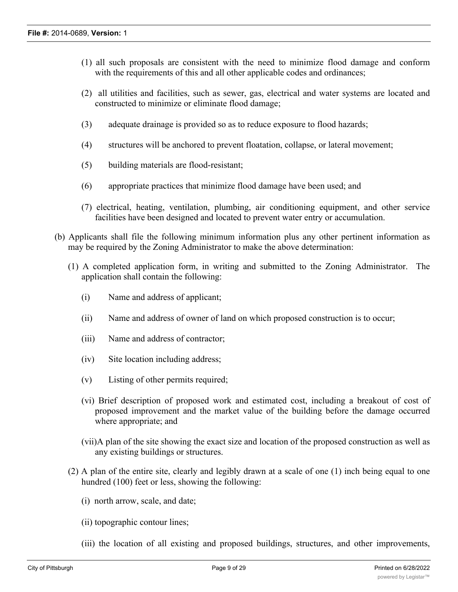- (1) all such proposals are consistent with the need to minimize flood damage and conform with the requirements of this and all other applicable codes and ordinances;
- (2) all utilities and facilities, such as sewer, gas, electrical and water systems are located and constructed to minimize or eliminate flood damage;
- (3) adequate drainage is provided so as to reduce exposure to flood hazards;
- (4) structures will be anchored to prevent floatation, collapse, or lateral movement;
- (5) building materials are flood-resistant;
- (6) appropriate practices that minimize flood damage have been used; and
- (7) electrical, heating, ventilation, plumbing, air conditioning equipment, and other service facilities have been designed and located to prevent water entry or accumulation.
- (b) Applicants shall file the following minimum information plus any other pertinent information as may be required by the Zoning Administrator to make the above determination:
	- (1) A completed application form, in writing and submitted to the Zoning Administrator. The application shall contain the following:
		- (i) Name and address of applicant;
		- (ii) Name and address of owner of land on which proposed construction is to occur;
		- (iii) Name and address of contractor;
		- (iv) Site location including address;
		- (v) Listing of other permits required;
		- (vi) Brief description of proposed work and estimated cost, including a breakout of cost of proposed improvement and the market value of the building before the damage occurred where appropriate; and
		- (vii)A plan of the site showing the exact size and location of the proposed construction as well as any existing buildings or structures.
	- (2) A plan of the entire site, clearly and legibly drawn at a scale of one (1) inch being equal to one hundred (100) feet or less, showing the following:
		- (i) north arrow, scale, and date;
		- (ii) topographic contour lines;
		- (iii) the location of all existing and proposed buildings, structures, and other improvements,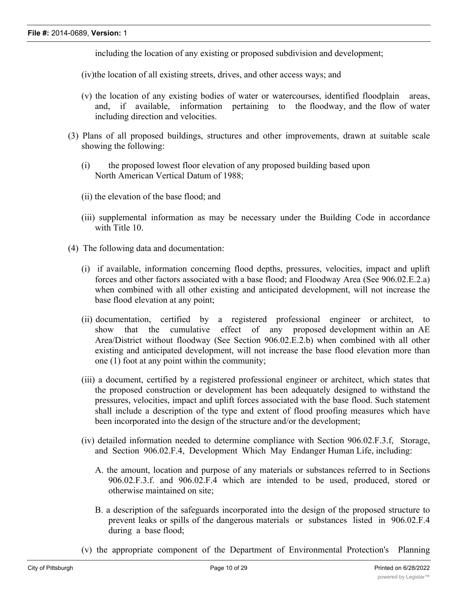including the location of any existing or proposed subdivision and development;

(iv)the location of all existing streets, drives, and other access ways; and

- (v) the location of any existing bodies of water or watercourses, identified floodplain areas, and, if available, information pertaining to the floodway, and the flow of water including direction and velocities.
- (3) Plans of all proposed buildings, structures and other improvements, drawn at suitable scale showing the following:
	- (i) the proposed lowest floor elevation of any proposed building based upon North American Vertical Datum of 1988;
	- (ii) the elevation of the base flood; and
	- (iii) supplemental information as may be necessary under the Building Code in accordance with Title 10.
- (4) The following data and documentation:
	- (i) if available, information concerning flood depths, pressures, velocities, impact and uplift forces and other factors associated with a base flood; and Floodway Area (See 906.02.E.2.a) when combined with all other existing and anticipated development, will not increase the base flood elevation at any point;
	- (ii) documentation, certified by a registered professional engineer or architect, to show that the cumulative effect of any proposed development within an AE Area/District without floodway (See Section 906.02.E.2.b) when combined with all other existing and anticipated development, will not increase the base flood elevation more than one (1) foot at any point within the community;
	- (iii) a document, certified by a registered professional engineer or architect, which states that the proposed construction or development has been adequately designed to withstand the pressures, velocities, impact and uplift forces associated with the base flood. Such statement shall include a description of the type and extent of flood proofing measures which have been incorporated into the design of the structure and/or the development;
	- (iv) detailed information needed to determine compliance with Section 906.02.F.3.f, Storage, and Section 906.02.F.4, Development Which May Endanger Human Life, including:
		- A. the amount, location and purpose of any materials or substances referred to in Sections 906.02.F.3.f. and 906.02.F.4 which are intended to be used, produced, stored or otherwise maintained on site;
		- B. a description of the safeguards incorporated into the design of the proposed structure to prevent leaks or spills of the dangerous materials or substances listed in 906.02.F.4 during a base flood;
	- (v) the appropriate component of the Department of Environmental Protection's Planning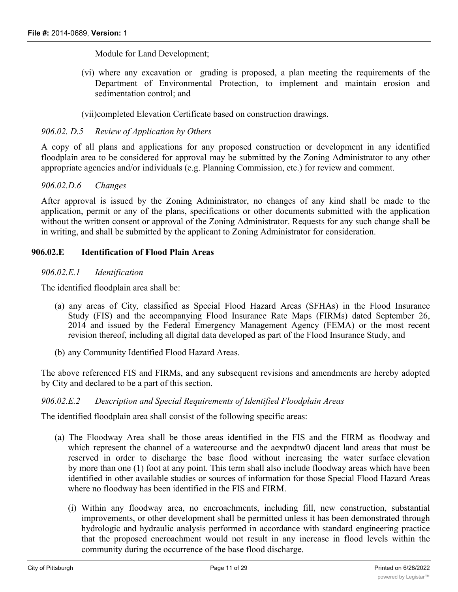Module for Land Development;

(vi) where any excavation or grading is proposed, a plan meeting the requirements of the Department of Environmental Protection, to implement and maintain erosion and sedimentation control; and

(vii)completed Elevation Certificate based on construction drawings.

## *906.02. D.5 Review of Application by Others*

A copy of all plans and applications for any proposed construction or development in any identified floodplain area to be considered for approval may be submitted by the Zoning Administrator to any other appropriate agencies and/or individuals (e.g. Planning Commission, etc.) for review and comment.

## *906.02.D.6 Changes*

After approval is issued by the Zoning Administrator, no changes of any kind shall be made to the application, permit or any of the plans, specifications or other documents submitted with the application without the written consent or approval of the Zoning Administrator. Requests for any such change shall be in writing, and shall be submitted by the applicant to Zoning Administrator for consideration.

## **906.02.E Identification of Flood Plain Areas**

## *906.02.E.1 Identification*

The identified floodplain area shall be:

- (a) any areas of City*,* classified as Special Flood Hazard Areas (SFHAs) in the Flood Insurance Study (FIS) and the accompanying Flood Insurance Rate Maps (FIRMs) dated September 26, 2014 and issued by the Federal Emergency Management Agency (FEMA) or the most recent revision thereof, including all digital data developed as part of the Flood Insurance Study, and
- (b) any Community Identified Flood Hazard Areas.

The above referenced FIS and FIRMs, and any subsequent revisions and amendments are hereby adopted by City and declared to be a part of this section.

## *906.02.E.2 Description and Special Requirements of Identified Floodplain Areas*

The identified floodplain area shall consist of the following specific areas:

- (a) The Floodway Area shall be those areas identified in the FIS and the FIRM as floodway and which represent the channel of a watercourse and the aexpndtw0 djacent land areas that must be reserved in order to discharge the base flood without increasing the water surface elevation by more than one (1) foot at any point. This term shall also include floodway areas which have been identified in other available studies or sources of information for those Special Flood Hazard Areas where no floodway has been identified in the FIS and FIRM.
	- (i) Within any floodway area, no encroachments, including fill, new construction, substantial improvements, or other development shall be permitted unless it has been demonstrated through hydrologic and hydraulic analysis performed in accordance with standard engineering practice that the proposed encroachment would not result in any increase in flood levels within the community during the occurrence of the base flood discharge.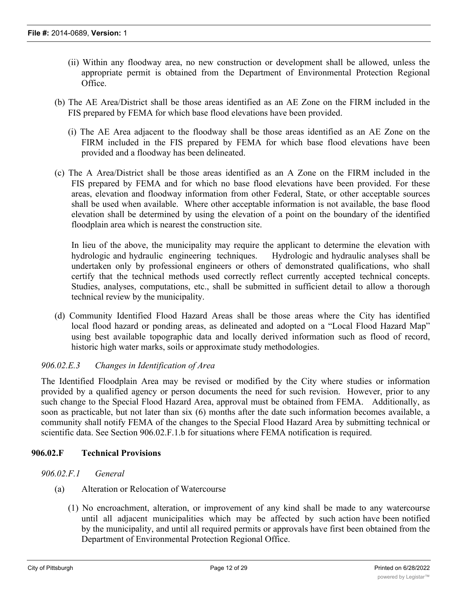- (ii) Within any floodway area, no new construction or development shall be allowed, unless the appropriate permit is obtained from the Department of Environmental Protection Regional Office.
- (b) The AE Area/District shall be those areas identified as an AE Zone on the FIRM included in the FIS prepared by FEMA for which base flood elevations have been provided.
	- (i) The AE Area adjacent to the floodway shall be those areas identified as an AE Zone on the FIRM included in the FIS prepared by FEMA for which base flood elevations have been provided and a floodway has been delineated.
- (c) The A Area/District shall be those areas identified as an A Zone on the FIRM included in the FIS prepared by FEMA and for which no base flood elevations have been provided. For these areas, elevation and floodway information from other Federal, State, or other acceptable sources shall be used when available. Where other acceptable information is not available, the base flood elevation shall be determined by using the elevation of a point on the boundary of the identified floodplain area which is nearest the construction site.

In lieu of the above, the municipality may require the applicant to determine the elevation with hydrologic and hydraulic engineering techniques. Hydrologic and hydraulic analyses shall be undertaken only by professional engineers or others of demonstrated qualifications, who shall certify that the technical methods used correctly reflect currently accepted technical concepts. Studies, analyses, computations, etc., shall be submitted in sufficient detail to allow a thorough technical review by the municipality.

(d) Community Identified Flood Hazard Areas shall be those areas where the City has identified local flood hazard or ponding areas, as delineated and adopted on a "Local Flood Hazard Map" using best available topographic data and locally derived information such as flood of record, historic high water marks, soils or approximate study methodologies.

## *906.02.E.3 Changes in Identification of Area*

The Identified Floodplain Area may be revised or modified by the City where studies or information provided by a qualified agency or person documents the need for such revision. However, prior to any such change to the Special Flood Hazard Area, approval must be obtained from FEMA. Additionally, as soon as practicable, but not later than six (6) months after the date such information becomes available, a community shall notify FEMA of the changes to the Special Flood Hazard Area by submitting technical or scientific data. See Section 906.02.F.1.b for situations where FEMA notification is required.

## **906.02.F Technical Provisions**

#### *906.02.F.1 General*

- (a) Alteration or Relocation of Watercourse
	- (1) No encroachment, alteration, or improvement of any kind shall be made to any watercourse until all adjacent municipalities which may be affected by such action have been notified by the municipality, and until all required permits or approvals have first been obtained from the Department of Environmental Protection Regional Office.

 $(2)$  No encroachment, alteration, or improvement of any kind shall be made to any watercourse  $\alpha$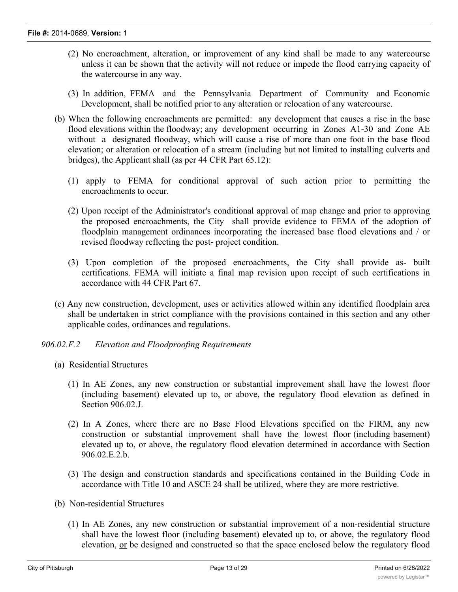- (2) No encroachment, alteration, or improvement of any kind shall be made to any watercourse unless it can be shown that the activity will not reduce or impede the flood carrying capacity of the watercourse in any way.
- (3) In addition, FEMA and the Pennsylvania Department of Community and Economic Development, shall be notified prior to any alteration or relocation of any watercourse.
- (b) When the following encroachments are permitted: any development that causes a rise in the base flood elevations within the floodway; any development occurring in Zones A1-30 and Zone AE without a designated floodway, which will cause a rise of more than one foot in the base flood elevation; or alteration or relocation of a stream (including but not limited to installing culverts and bridges), the Applicant shall (as per 44 CFR Part 65.12):
	- (1) apply to FEMA for conditional approval of such action prior to permitting the encroachments to occur.
	- (2) Upon receipt of the Administrator's conditional approval of map change and prior to approving the proposed encroachments, the City shall provide evidence to FEMA of the adoption of floodplain management ordinances incorporating the increased base flood elevations and / or revised floodway reflecting the post- project condition.
	- (3) Upon completion of the proposed encroachments, the City shall provide as- built certifications. FEMA will initiate a final map revision upon receipt of such certifications in accordance with 44 CFR Part 67.
- (c) Any new construction, development, uses or activities allowed within any identified floodplain area shall be undertaken in strict compliance with the provisions contained in this section and any other applicable codes, ordinances and regulations.

#### *906.02.F.2 Elevation and Floodproofing Requirements*

- (a) Residential Structures
	- (1) In AE Zones, any new construction or substantial improvement shall have the lowest floor (including basement) elevated up to, or above, the regulatory flood elevation as defined in Section 906.02.J.
	- (2) In A Zones, where there are no Base Flood Elevations specified on the FIRM, any new construction or substantial improvement shall have the lowest floor (including basement) elevated up to, or above, the regulatory flood elevation determined in accordance with Section 906.02.E.2.b.
	- (3) The design and construction standards and specifications contained in the Building Code in accordance with Title 10 and ASCE 24 shall be utilized, where they are more restrictive.
- (b) Non-residential Structures
	- (1) In AE Zones, any new construction or substantial improvement of a non-residential structure shall have the lowest floor (including basement) elevated up to, or above, the regulatory flood elevation, or be designed and constructed so that the space enclosed below the regulatory flood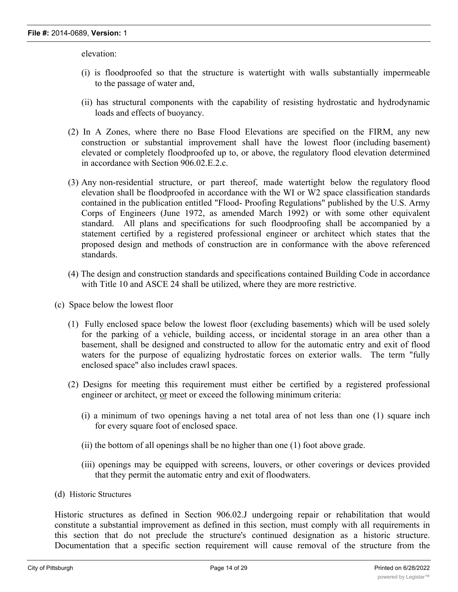elevation:

- (i) is floodproofed so that the structure is watertight with walls substantially impermeable to the passage of water and,
- (ii) has structural components with the capability of resisting hydrostatic and hydrodynamic loads and effects of buoyancy.
- (2) In A Zones, where there no Base Flood Elevations are specified on the FIRM, any new construction or substantial improvement shall have the lowest floor (including basement) elevated or completely floodproofed up to, or above, the regulatory flood elevation determined in accordance with Section 906.02.E.2.c.
- (3) Any non-residential structure, or part thereof, made watertight below the regulatory flood elevation shall be floodproofed in accordance with the WI or W2 space classification standards contained in the publication entitled "Flood- Proofing Regulations" published by the U.S. Army Corps of Engineers (June 1972, as amended March 1992) or with some other equivalent standard. All plans and specifications for such floodproofing shall be accompanied by a statement certified by a registered professional engineer or architect which states that the proposed design and methods of construction are in conformance with the above referenced standards.
- (4) The design and construction standards and specifications contained Building Code in accordance with Title 10 and ASCE 24 shall be utilized, where they are more restrictive.
- (c) Space below the lowest floor
	- (1) Fully enclosed space below the lowest floor (excluding basements) which will be used solely for the parking of a vehicle, building access, or incidental storage in an area other than a basement, shall be designed and constructed to allow for the automatic entry and exit of flood waters for the purpose of equalizing hydrostatic forces on exterior walls. The term "fully enclosed space" also includes crawl spaces.
	- (2) Designs for meeting this requirement must either be certified by a registered professional engineer or architect, or meet or exceed the following minimum criteria:
		- (i) a minimum of two openings having a net total area of not less than one (1) square inch for every square foot of enclosed space.
		- (ii) the bottom of all openings shall be no higher than one (1) foot above grade.
		- (iii) openings may be equipped with screens, louvers, or other coverings or devices provided that they permit the automatic entry and exit of floodwaters.
- (d) Historic Structures

Historic structures as defined in Section 906.02.J undergoing repair or rehabilitation that would constitute a substantial improvement as defined in this section, must comply with all requirements in this section that do not preclude the structure's continued designation as a historic structure. Documentation that a specific section requirement will cause removal of the structure from the

National Register of Historic Places or the State Inventory of Historic places must be obtained from the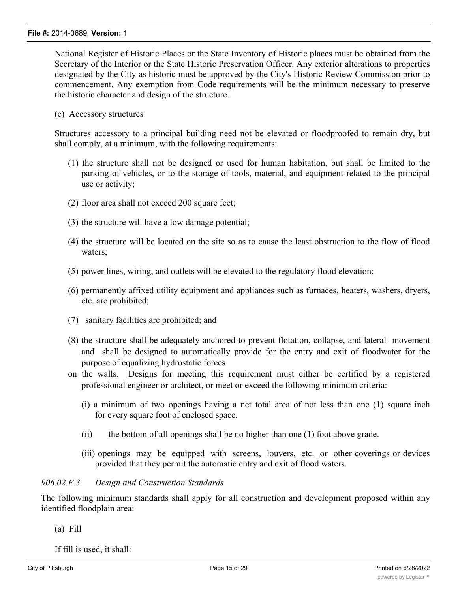National Register of Historic Places or the State Inventory of Historic places must be obtained from the Secretary of the Interior or the State Historic Preservation Officer. Any exterior alterations to properties designated by the City as historic must be approved by the City's Historic Review Commission prior to commencement. Any exemption from Code requirements will be the minimum necessary to preserve the historic character and design of the structure.

(e) Accessory structures

Structures accessory to a principal building need not be elevated or floodproofed to remain dry, but shall comply, at a minimum, with the following requirements:

- (1) the structure shall not be designed or used for human habitation, but shall be limited to the parking of vehicles, or to the storage of tools, material, and equipment related to the principal use or activity;
- (2) floor area shall not exceed 200 square feet;
- (3) the structure will have a low damage potential;
- (4) the structure will be located on the site so as to cause the least obstruction to the flow of flood waters;
- (5) power lines, wiring, and outlets will be elevated to the regulatory flood elevation;
- (6) permanently affixed utility equipment and appliances such as furnaces, heaters, washers, dryers, etc. are prohibited;
- (7) sanitary facilities are prohibited; and
- (8) the structure shall be adequately anchored to prevent flotation, collapse, and lateral movement and shall be designed to automatically provide for the entry and exit of floodwater for the purpose of equalizing hydrostatic forces
- on the walls. Designs for meeting this requirement must either be certified by a registered professional engineer or architect, or meet or exceed the following minimum criteria:
	- (i) a minimum of two openings having a net total area of not less than one (1) square inch for every square foot of enclosed space.
	- (ii) the bottom of all openings shall be no higher than one (1) foot above grade.
	- (iii) openings may be equipped with screens, louvers, etc. or other coverings or devices provided that they permit the automatic entry and exit of flood waters.

## *906.02.F.3 Design and Construction Standards*

The following minimum standards shall apply for all construction and development proposed within any identified floodplain area:

(a) Fill

If fill is used, it shall: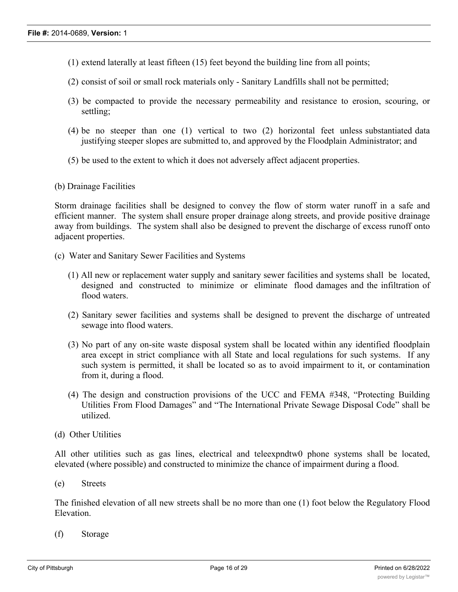- (1) extend laterally at least fifteen (15) feet beyond the building line from all points;
- (2) consist of soil or small rock materials only Sanitary Landfills shall not be permitted;
- (3) be compacted to provide the necessary permeability and resistance to erosion, scouring, or settling;
- (4) be no steeper than one (1) vertical to two (2) horizontal feet unless substantiated data justifying steeper slopes are submitted to, and approved by the Floodplain Administrator; and
- (5) be used to the extent to which it does not adversely affect adjacent properties.
- (b) Drainage Facilities

Storm drainage facilities shall be designed to convey the flow of storm water runoff in a safe and efficient manner. The system shall ensure proper drainage along streets, and provide positive drainage away from buildings. The system shall also be designed to prevent the discharge of excess runoff onto adjacent properties.

- (c) Water and Sanitary Sewer Facilities and Systems
	- (1) All new or replacement water supply and sanitary sewer facilities and systems shall be located, designed and constructed to minimize or eliminate flood damages and the infiltration of flood waters.
	- (2) Sanitary sewer facilities and systems shall be designed to prevent the discharge of untreated sewage into flood waters.
	- (3) No part of any on-site waste disposal system shall be located within any identified floodplain area except in strict compliance with all State and local regulations for such systems. If any such system is permitted, it shall be located so as to avoid impairment to it, or contamination from it, during a flood.
	- (4) The design and construction provisions of the UCC and FEMA #348, "Protecting Building Utilities From Flood Damages" and "The International Private Sewage Disposal Code" shall be utilized.
- (d) Other Utilities

All other utilities such as gas lines, electrical and teleexpndtw0 phone systems shall be located, elevated (where possible) and constructed to minimize the chance of impairment during a flood.

(e) Streets

The finished elevation of all new streets shall be no more than one (1) foot below the Regulatory Flood Elevation.

(f) Storage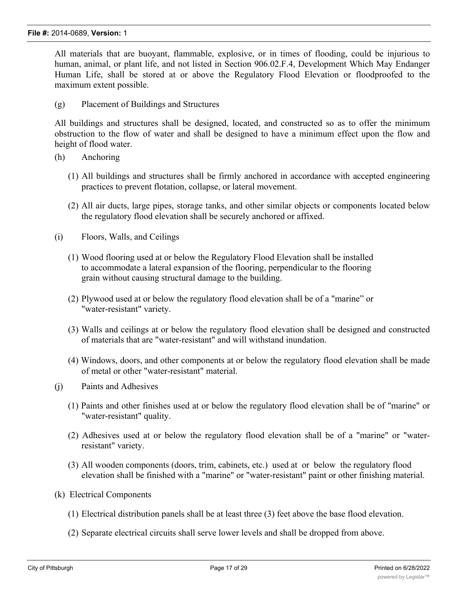All materials that are buoyant, flammable, explosive, or in times of flooding, could be injurious to human, animal, or plant life, and not listed in Section 906.02.F.4, Development Which May Endanger Human Life, shall be stored at or above the Regulatory Flood Elevation or floodproofed to the maximum extent possible.

(g) Placement of Buildings and Structures

All buildings and structures shall be designed, located, and constructed so as to offer the minimum obstruction to the flow of water and shall be designed to have a minimum effect upon the flow and height of flood water.

- (h) Anchoring
	- (1) All buildings and structures shall be firmly anchored in accordance with accepted engineering practices to prevent flotation, collapse, or lateral movement.
	- (2) All air ducts, large pipes, storage tanks, and other similar objects or components located below the regulatory flood elevation shall be securely anchored or affixed.
- (i) Floors, Walls, and Ceilings
	- (1) Wood flooring used at or below the Regulatory Flood Elevation shall be installed to accommodate a lateral expansion of the flooring, perpendicular to the flooring grain without causing structural damage to the building.
	- (2) Plywood used at or below the regulatory flood elevation shall be of a "marine" or "water-resistant" variety.
	- (3) Walls and ceilings at or below the regulatory flood elevation shall be designed and constructed of materials that are "water-resistant" and will withstand inundation.
	- (4) Windows, doors, and other components at or below the regulatory flood elevation shall be made of metal or other "water-resistant" material.
- (j) Paints and Adhesives
	- (1) Paints and other finishes used at or below the regulatory flood elevation shall be of "marine" or "water-resistant" quality.
	- (2) Adhesives used at or below the regulatory flood elevation shall be of a "marine" or "waterresistant" variety.
	- (3) All wooden components (doors, trim, cabinets, etc.) used at or below the regulatory flood elevation shall be finished with a "marine" or "water-resistant" paint or other finishing material.
- (k) Electrical Components
	- (1) Electrical distribution panels shall be at least three (3) feet above the base flood elevation.
	- (2) Separate electrical circuits shall serve lower levels and shall be dropped from above.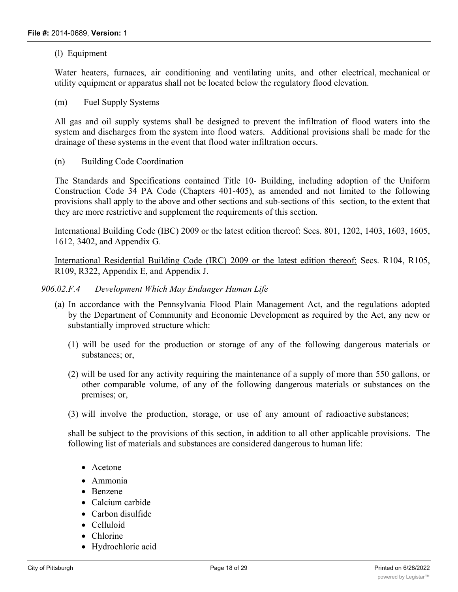(l) Equipment

Water heaters, furnaces, air conditioning and ventilating units, and other electrical, mechanical or utility equipment or apparatus shall not be located below the regulatory flood elevation.

(m) Fuel Supply Systems

All gas and oil supply systems shall be designed to prevent the infiltration of flood waters into the system and discharges from the system into flood waters. Additional provisions shall be made for the drainage of these systems in the event that flood water infiltration occurs.

(n) Building Code Coordination

The Standards and Specifications contained Title 10- Building, including adoption of the Uniform Construction Code 34 PA Code (Chapters 401-405), as amended and not limited to the following provisions shall apply to the above and other sections and sub-sections of this section, to the extent that they are more restrictive and supplement the requirements of this section.

International Building Code (IBC) 2009 or the latest edition thereof: Secs. 801, 1202, 1403, 1603, 1605, 1612, 3402, and Appendix G.

International Residential Building Code (IRC) 2009 or the latest edition thereof: Secs. R104, R105, R109, R322, Appendix E, and Appendix J.

#### *906.02.F.4 Development Which May Endanger Human Life*

- (a) In accordance with the Pennsylvania Flood Plain Management Act, and the regulations adopted by the Department of Community and Economic Development as required by the Act, any new or substantially improved structure which:
	- (1) will be used for the production or storage of any of the following dangerous materials or substances; or,
	- (2) will be used for any activity requiring the maintenance of a supply of more than 550 gallons, or other comparable volume, of any of the following dangerous materials or substances on the premises; or,
	- (3) will involve the production, storage, or use of any amount of radioactive substances;

shall be subject to the provisions of this section, in addition to all other applicable provisions. The following list of materials and substances are considered dangerous to human life:

- Acetone
- · Ammonia
- · Benzene
- Calcium carbide
- Carbon disulfide
- · Celluloid
- Chlorine
- · Hydrochloric acid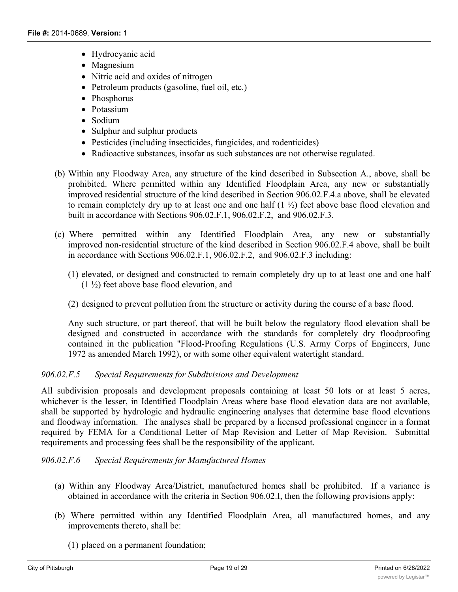- · Hydrocyanic acid
- Magnesium
- Nitric acid and oxides of nitrogen
- Petroleum products (gasoline, fuel oil, etc.)
- · Phosphorus
- Potassium
- Sodium
- · Sulphur and sulphur products
- Pesticides (including insecticides, fungicides, and rodenticides)
- · Radioactive substances, insofar as such substances are not otherwise regulated.
- (b) Within any Floodway Area, any structure of the kind described in Subsection A., above, shall be prohibited. Where permitted within any Identified Floodplain Area, any new or substantially improved residential structure of the kind described in Section 906.02.F.4.a above, shall be elevated to remain completely dry up to at least one and one half (1 ½) feet above base flood elevation and built in accordance with Sections 906.02.F.1, 906.02.F.2, and 906.02.F.3.
- (c) Where permitted within any Identified Floodplain Area, any new or substantially improved non-residential structure of the kind described in Section 906.02.F.4 above, shall be built in accordance with Sections 906.02.F.1, 906.02.F.2, and 906.02.F.3 including:
	- (1) elevated, or designed and constructed to remain completely dry up to at least one and one half (1 ½) feet above base flood elevation, and
	- (2) designed to prevent pollution from the structure or activity during the course of a base flood.

Any such structure, or part thereof, that will be built below the regulatory flood elevation shall be designed and constructed in accordance with the standards for completely dry floodproofing contained in the publication "Flood-Proofing Regulations (U.S. Army Corps of Engineers, June 1972 as amended March 1992), or with some other equivalent watertight standard.

## *906.02.F.5 Special Requirements for Subdivisions and Development*

All subdivision proposals and development proposals containing at least 50 lots or at least 5 acres, whichever is the lesser, in Identified Floodplain Areas where base flood elevation data are not available, shall be supported by hydrologic and hydraulic engineering analyses that determine base flood elevations and floodway information. The analyses shall be prepared by a licensed professional engineer in a format required by FEMA for a Conditional Letter of Map Revision and Letter of Map Revision. Submittal requirements and processing fees shall be the responsibility of the applicant.

## *906.02.F.6 Special Requirements for Manufactured Homes*

- (a) Within any Floodway Area/District, manufactured homes shall be prohibited. If a variance is obtained in accordance with the criteria in Section 906.02.I, then the following provisions apply:
- (b) Where permitted within any Identified Floodplain Area, all manufactured homes, and any improvements thereto, shall be:
	- (1) placed on a permanent foundation;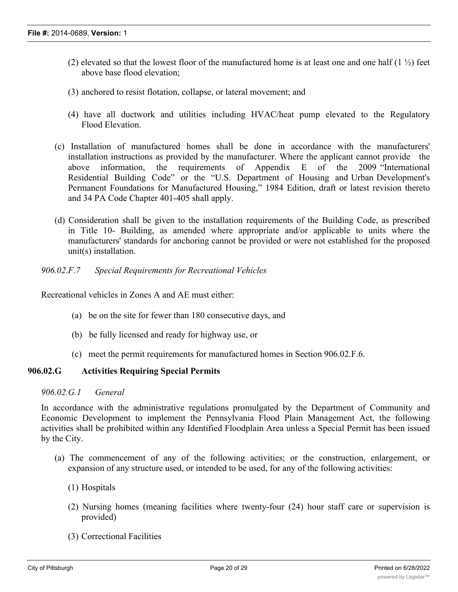- (2) elevated so that the lowest floor of the manufactured home is at least one and one half  $(1 \frac{1}{2})$  feet above base flood elevation;
- (3) anchored to resist flotation, collapse, or lateral movement; and
- (4) have all ductwork and utilities including HVAC/heat pump elevated to the Regulatory Flood Elevation.
- (c) Installation of manufactured homes shall be done in accordance with the manufacturers' installation instructions as provided by the manufacturer. Where the applicant cannot provide the above information, the requirements of Appendix E of the 2009 "International Residential Building Code" or the "U.S. Department of Housing and Urban Development's Permanent Foundations for Manufactured Housing," 1984 Edition, draft or latest revision thereto and 34 PA Code Chapter 401-405 shall apply.
- (d) Consideration shall be given to the installation requirements of the Building Code, as prescribed in Title 10- Building, as amended where appropriate and/or applicable to units where the manufacturers' standards for anchoring cannot be provided or were not established for the proposed unit(s) installation.
- *906.02.F.7 Special Requirements for Recreational Vehicles*

Recreational vehicles in Zones A and AE must either:

- (a) be on the site for fewer than 180 consecutive days, and
- (b) be fully licensed and ready for highway use, or
- (c) meet the permit requirements for manufactured homes in Section 906.02.F.6.

#### **906.02.G Activities Requiring Special Permits**

## *906.02.G.1 General*

In accordance with the administrative regulations promulgated by the Department of Community and Economic Development to implement the Pennsylvania Flood Plain Management Act, the following activities shall be prohibited within any Identified Floodplain Area unless a Special Permit has been issued by the City.

- (a) The commencement of any of the following activities; or the construction, enlargement, or expansion of any structure used, or intended to be used, for any of the following activities:
	- (1) Hospitals
	- (2) Nursing homes (meaning facilities where twenty-four (24) hour staff care or supervision is provided)
	- (3) Correctional Facilities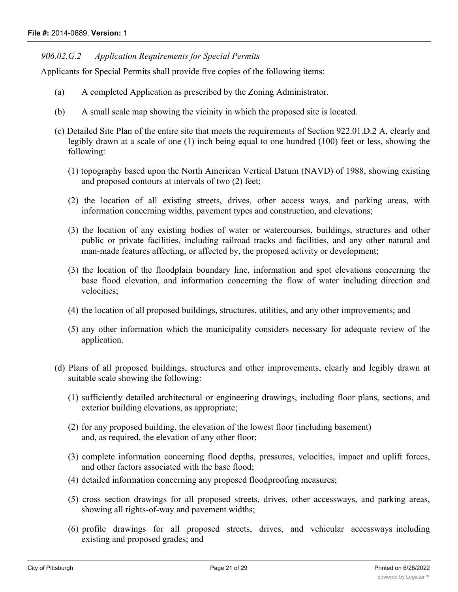## *906.02.G.2 Application Requirements for Special Permits*

Applicants for Special Permits shall provide five copies of the following items:

- (a) A completed Application as prescribed by the Zoning Administrator.
- (b) A small scale map showing the vicinity in which the proposed site is located.
- (c) Detailed Site Plan of the entire site that meets the requirements of Section 922.01.D.2 A, clearly and legibly drawn at a scale of one (1) inch being equal to one hundred (100) feet or less, showing the following:
	- (1) topography based upon the North American Vertical Datum (NAVD) of 1988, showing existing and proposed contours at intervals of two (2) feet;
	- (2) the location of all existing streets, drives, other access ways, and parking areas, with information concerning widths, pavement types and construction, and elevations;
	- (3) the location of any existing bodies of water or watercourses, buildings, structures and other public or private facilities, including railroad tracks and facilities, and any other natural and man-made features affecting, or affected by, the proposed activity or development;
	- (3) the location of the floodplain boundary line, information and spot elevations concerning the base flood elevation, and information concerning the flow of water including direction and velocities;
	- (4) the location of all proposed buildings, structures, utilities, and any other improvements; and
	- (5) any other information which the municipality considers necessary for adequate review of the application.
- (d) Plans of all proposed buildings, structures and other improvements, clearly and legibly drawn at suitable scale showing the following:
	- (1) sufficiently detailed architectural or engineering drawings, including floor plans, sections, and exterior building elevations, as appropriate;
	- (2) for any proposed building, the elevation of the lowest floor (including basement) and, as required, the elevation of any other floor;
	- (3) complete information concerning flood depths, pressures, velocities, impact and uplift forces, and other factors associated with the base flood;
	- (4) detailed information concerning any proposed floodproofing measures;
	- (5) cross section drawings for all proposed streets, drives, other accessways, and parking areas, showing all rights-of-way and pavement widths;
	- (6) profile drawings for all proposed streets, drives, and vehicular accessways including existing and proposed grades; and

 $\mathcal{P}(\mathcal{P})$  plans and profiles of all profiles of all proposed sanitary systems, water systems, and storm sewer systems, and storm sewer systems, and storm sewer systems, and systems, and systems, and systems, and syst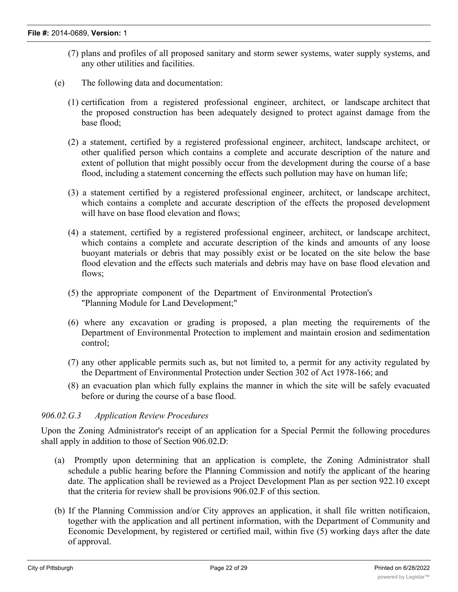- (7) plans and profiles of all proposed sanitary and storm sewer systems, water supply systems, and any other utilities and facilities.
- (e) The following data and documentation:
	- (1) certification from a registered professional engineer, architect, or landscape architect that the proposed construction has been adequately designed to protect against damage from the base flood;
	- (2) a statement, certified by a registered professional engineer, architect, landscape architect, or other qualified person which contains a complete and accurate description of the nature and extent of pollution that might possibly occur from the development during the course of a base flood, including a statement concerning the effects such pollution may have on human life;
	- (3) a statement certified by a registered professional engineer, architect, or landscape architect, which contains a complete and accurate description of the effects the proposed development will have on base flood elevation and flows;
	- (4) a statement, certified by a registered professional engineer, architect, or landscape architect, which contains a complete and accurate description of the kinds and amounts of any loose buoyant materials or debris that may possibly exist or be located on the site below the base flood elevation and the effects such materials and debris may have on base flood elevation and flows:
	- (5) the appropriate component of the Department of Environmental Protection's "Planning Module for Land Development;"
	- (6) where any excavation or grading is proposed, a plan meeting the requirements of the Department of Environmental Protection to implement and maintain erosion and sedimentation control;
	- (7) any other applicable permits such as, but not limited to, a permit for any activity regulated by the Department of Environmental Protection under Section 302 of Act 1978-166; and
	- (8) an evacuation plan which fully explains the manner in which the site will be safely evacuated before or during the course of a base flood.

#### *906.02.G.3 Application Review Procedures*

Upon the Zoning Administrator's receipt of an application for a Special Permit the following procedures shall apply in addition to those of Section 906.02.D:

- (a) Promptly upon determining that an application is complete, the Zoning Administrator shall schedule a public hearing before the Planning Commission and notify the applicant of the hearing date. The application shall be reviewed as a Project Development Plan as per section 922.10 except that the criteria for review shall be provisions 906.02.F of this section.
- (b) If the Planning Commission and/or City approves an application, it shall file written notificaion, together with the application and all pertinent information, with the Department of Community and Economic Development, by registered or certified mail, within five (5) working days after the date of approval.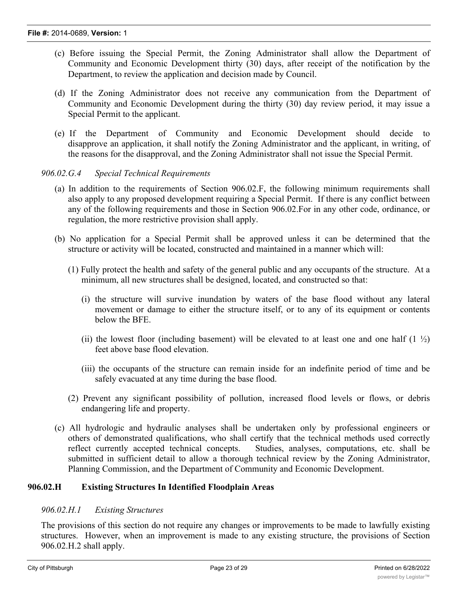- (c) Before issuing the Special Permit, the Zoning Administrator shall allow the Department of Community and Economic Development thirty (30) days, after receipt of the notification by the Department, to review the application and decision made by Council.
- (d) If the Zoning Administrator does not receive any communication from the Department of Community and Economic Development during the thirty (30) day review period, it may issue a Special Permit to the applicant.
- (e) If the Department of Community and Economic Development should decide to disapprove an application, it shall notify the Zoning Administrator and the applicant, in writing, of the reasons for the disapproval, and the Zoning Administrator shall not issue the Special Permit.

## *906.02.G.4 Special Technical Requirements*

- (a) In addition to the requirements of Section 906.02.F, the following minimum requirements shall also apply to any proposed development requiring a Special Permit. If there is any conflict between any of the following requirements and those in Section 906.02.For in any other code, ordinance, or regulation, the more restrictive provision shall apply.
- (b) No application for a Special Permit shall be approved unless it can be determined that the structure or activity will be located, constructed and maintained in a manner which will:
	- (1) Fully protect the health and safety of the general public and any occupants of the structure. At a minimum, all new structures shall be designed, located, and constructed so that:
		- (i) the structure will survive inundation by waters of the base flood without any lateral movement or damage to either the structure itself, or to any of its equipment or contents below the BFE.
		- (ii) the lowest floor (including basement) will be elevated to at least one and one half  $(1 \frac{1}{2})$ feet above base flood elevation.
		- (iii) the occupants of the structure can remain inside for an indefinite period of time and be safely evacuated at any time during the base flood.
	- (2) Prevent any significant possibility of pollution, increased flood levels or flows, or debris endangering life and property.
- (c) All hydrologic and hydraulic analyses shall be undertaken only by professional engineers or others of demonstrated qualifications, who shall certify that the technical methods used correctly reflect currently accepted technical concepts. Studies, analyses, computations, etc. shall be submitted in sufficient detail to allow a thorough technical review by the Zoning Administrator, Planning Commission, and the Department of Community and Economic Development.

## **906.02.H Existing Structures In Identified Floodplain Areas**

## *906.02.H.1 Existing Structures*

The provisions of this section do not require any changes or improvements to be made to lawfully existing structures. However, when an improvement is made to any existing structure, the provisions of Section 906.02.H.2 shall apply.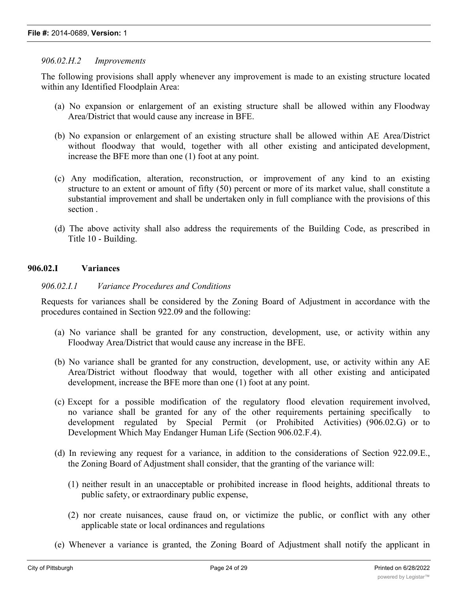## *906.02.H.2 Improvements*

The following provisions shall apply whenever any improvement is made to an existing structure located within any Identified Floodplain Area:

- (a) No expansion or enlargement of an existing structure shall be allowed within any Floodway Area/District that would cause any increase in BFE.
- (b) No expansion or enlargement of an existing structure shall be allowed within AE Area/District without floodway that would, together with all other existing and anticipated development, increase the BFE more than one (1) foot at any point.
- (c) Any modification, alteration, reconstruction, or improvement of any kind to an existing structure to an extent or amount of fifty (50) percent or more of its market value, shall constitute a substantial improvement and shall be undertaken only in full compliance with the provisions of this section .
- (d) The above activity shall also address the requirements of the Building Code, as prescribed in Title 10 - Building.

## **906.02.I Variances**

## *906.02.I.1 Variance Procedures and Conditions*

Requests for variances shall be considered by the Zoning Board of Adjustment in accordance with the procedures contained in Section 922.09 and the following:

- (a) No variance shall be granted for any construction, development, use, or activity within any Floodway Area/District that would cause any increase in the BFE.
- (b) No variance shall be granted for any construction, development, use, or activity within any AE Area/District without floodway that would, together with all other existing and anticipated development, increase the BFE more than one (1) foot at any point.
- (c) Except for a possible modification of the regulatory flood elevation requirement involved, no variance shall be granted for any of the other requirements pertaining specifically to development regulated by Special Permit (or Prohibited Activities) (906.02.G) or to Development Which May Endanger Human Life (Section 906.02.F.4).
- (d) In reviewing any request for a variance, in addition to the considerations of Section 922.09.E., the Zoning Board of Adjustment shall consider, that the granting of the variance will:
	- (1) neither result in an unacceptable or prohibited increase in flood heights, additional threats to public safety, or extraordinary public expense,
	- (2) nor create nuisances, cause fraud on, or victimize the public, or conflict with any other applicable state or local ordinances and regulations
- (e) Whenever a variance is granted, the Zoning Board of Adjustment shall notify the applicant in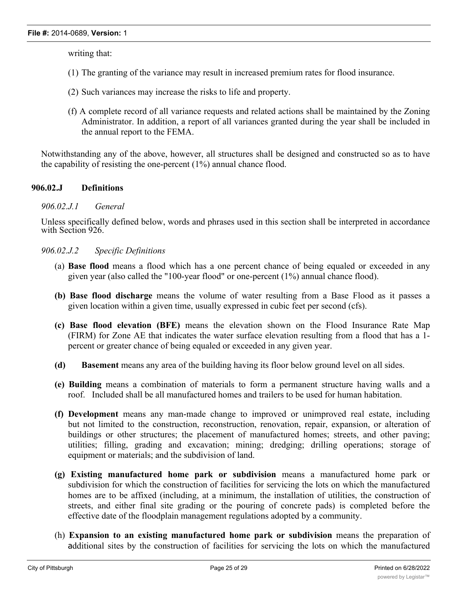writing that:

- (1) The granting of the variance may result in increased premium rates for flood insurance.
- (2) Such variances may increase the risks to life and property.
- (f) A complete record of all variance requests and related actions shall be maintained by the Zoning Administrator. In addition, a report of all variances granted during the year shall be included in the annual report to the FEMA.

Notwithstanding any of the above, however, all structures shall be designed and constructed so as to have the capability of resisting the one-percent (1%) annual chance flood.

## **906.02.J Definitions**

## *906.02.J.1 General*

Unless specifically defined below, words and phrases used in this section shall be interpreted in accordance with Section 926.

## *906.02.J.2 Specific Definitions*

- (a) **Base flood** means a flood which has a one percent chance of being equaled or exceeded in any given year (also called the "100-year flood" or one-percent (1%) annual chance flood).
- **(b) Base flood discharge** means the volume of water resulting from a Base Flood as it passes a given location within a given time, usually expressed in cubic feet per second (cfs).
- **(c) Base flood elevation (BFE)** means the elevation shown on the Flood Insurance Rate Map (FIRM) for Zone AE that indicates the water surface elevation resulting from a flood that has a 1 percent or greater chance of being equaled or exceeded in any given year.
- **(d) Basement** means any area of the building having its floor below ground level on all sides.
- **(e) Building** means a combination of materials to form a permanent structure having walls and a roof. Included shall be all manufactured homes and trailers to be used for human habitation.
- **(f) Development** means any man-made change to improved or unimproved real estate, including but not limited to the construction, reconstruction, renovation, repair, expansion, or alteration of buildings or other structures; the placement of manufactured homes; streets, and other paving; utilities; filling, grading and excavation; mining; dredging; drilling operations; storage of equipment or materials; and the subdivision of land.
- **(g) Existing manufactured home park or subdivision** means a manufactured home park or subdivision for which the construction of facilities for servicing the lots on which the manufactured homes are to be affixed (including, at a minimum, the installation of utilities, the construction of streets, and either final site grading or the pouring of concrete pads) is completed before the effective date of the floodplain management regulations adopted by a community.
- (h) **Expansion to an existing manufactured home park or subdivision** means the preparation of additional sites by the construction of facilities for servicing the lots on which the manufactured

homes are to be affixed (including the installation of utilities, the construction of streets, and either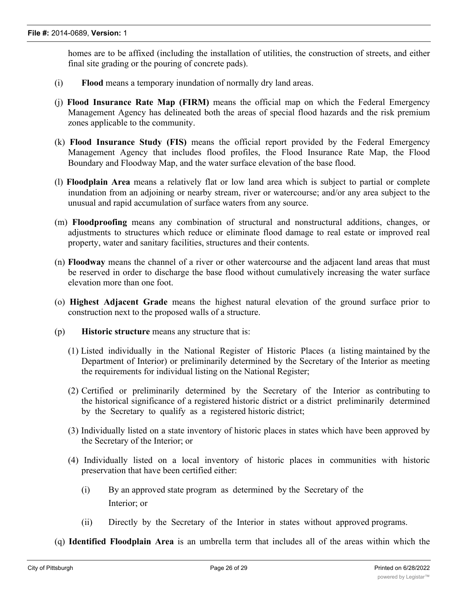homes are to be affixed (including the installation of utilities, the construction of streets, and either final site grading or the pouring of concrete pads).

- (i) **Flood** means a temporary inundation of normally dry land areas.
- (j) **Flood Insurance Rate Map (FIRM)** means the official map on which the Federal Emergency Management Agency has delineated both the areas of special flood hazards and the risk premium zones applicable to the community.
- (k) **Flood Insurance Study (FIS)** means the official report provided by the Federal Emergency Management Agency that includes flood profiles, the Flood Insurance Rate Map, the Flood Boundary and Floodway Map, and the water surface elevation of the base flood.
- (l) **Floodplain Area** means a relatively flat or low land area which is subject to partial or complete inundation from an adjoining or nearby stream, river or watercourse; and/or any area subject to the unusual and rapid accumulation of surface waters from any source.
- (m) **Floodproofing** means any combination of structural and nonstructural additions, changes, or adjustments to structures which reduce or eliminate flood damage to real estate or improved real property, water and sanitary facilities, structures and their contents.
- (n) **Floodway** means the channel of a river or other watercourse and the adjacent land areas that must be reserved in order to discharge the base flood without cumulatively increasing the water surface elevation more than one foot.
- (o) **Highest Adjacent Grade** means the highest natural elevation of the ground surface prior to construction next to the proposed walls of a structure.
- (p) **Historic structure** means any structure that is:
	- (1) Listed individually in the National Register of Historic Places (a listing maintained by the Department of Interior) or preliminarily determined by the Secretary of the Interior as meeting the requirements for individual listing on the National Register;
	- (2) Certified or preliminarily determined by the Secretary of the Interior as contributing to the historical significance of a registered historic district or a district preliminarily determined by the Secretary to qualify as a registered historic district;
	- (3) Individually listed on a state inventory of historic places in states which have been approved by the Secretary of the Interior; or
	- (4) Individually listed on a local inventory of historic places in communities with historic preservation that have been certified either:
		- (i) By an approved state program as determined by the Secretary of the Interior; or
		- (ii) Directly by the Secretary of the Interior in states without approved programs.

(q) **Identified Floodplain Area** is an umbrella term that includes all of the areas within which the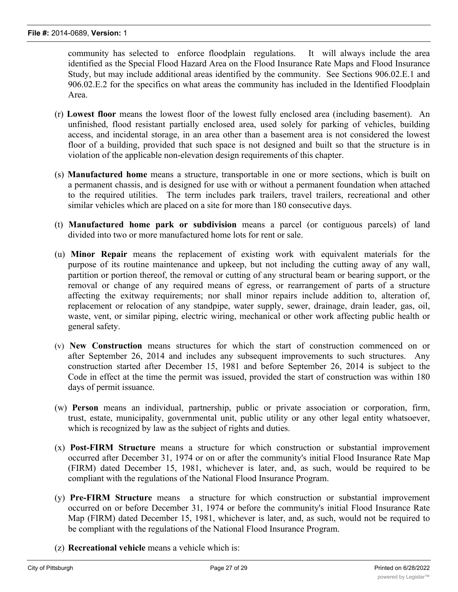community has selected to enforce floodplain regulations. It will always include the area identified as the Special Flood Hazard Area on the Flood Insurance Rate Maps and Flood Insurance Study, but may include additional areas identified by the community. See Sections 906.02.E.1 and 906.02.E.2 for the specifics on what areas the community has included in the Identified Floodplain Area.

- (r) **Lowest floor** means the lowest floor of the lowest fully enclosed area (including basement). An unfinished, flood resistant partially enclosed area, used solely for parking of vehicles, building access, and incidental storage, in an area other than a basement area is not considered the lowest floor of a building, provided that such space is not designed and built so that the structure is in violation of the applicable non-elevation design requirements of this chapter.
- (s) **Manufactured home** means a structure, transportable in one or more sections, which is built on a permanent chassis, and is designed for use with or without a permanent foundation when attached to the required utilities. The term includes park trailers, travel trailers, recreational and other similar vehicles which are placed on a site for more than 180 consecutive days.
- (t) **Manufactured home park or subdivision** means a parcel (or contiguous parcels) of land divided into two or more manufactured home lots for rent or sale.
- (u) **Minor Repair** means the replacement of existing work with equivalent materials for the purpose of its routine maintenance and upkeep, but not including the cutting away of any wall, partition or portion thereof, the removal or cutting of any structural beam or bearing support, or the removal or change of any required means of egress, or rearrangement of parts of a structure affecting the exitway requirements; nor shall minor repairs include addition to, alteration of, replacement or relocation of any standpipe, water supply, sewer, drainage, drain leader, gas, oil, waste, vent, or similar piping, electric wiring, mechanical or other work affecting public health or general safety.
- (v) **New Construction** means structures for which the start of construction commenced on or after September 26, 2014 and includes any subsequent improvements to such structures. Any construction started after December 15, 1981 and before September 26, 2014 is subject to the Code in effect at the time the permit was issued, provided the start of construction was within 180 days of permit issuance.
- (w) **Person** means an individual, partnership, public or private association or corporation, firm, trust, estate, municipality, governmental unit, public utility or any other legal entity whatsoever, which is recognized by law as the subject of rights and duties.
- (x) **Post-FIRM Structure** means a structure for which construction or substantial improvement occurred after December 31, 1974 or on or after the community's initial Flood Insurance Rate Map (FIRM) dated December 15, 1981, whichever is later, and, as such, would be required to be compliant with the regulations of the National Flood Insurance Program.
- (y) **Pre-FIRM Structure** means a structure for which construction or substantial improvement occurred on or before December 31, 1974 or before the community's initial Flood Insurance Rate Map (FIRM) dated December 15, 1981, whichever is later, and, as such, would not be required to be compliant with the regulations of the National Flood Insurance Program.
- (z) **Recreational vehicle** means a vehicle which is: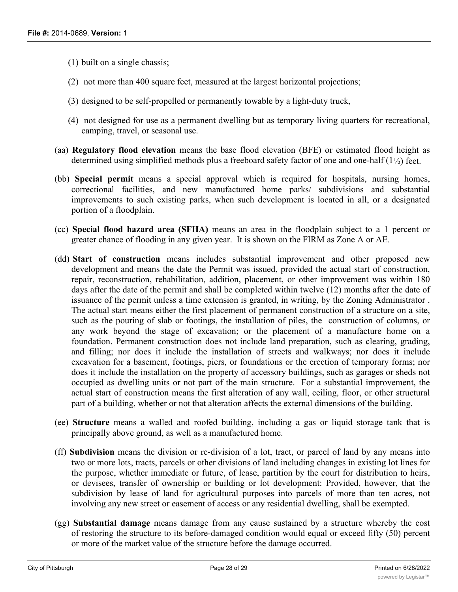- (1) built on a single chassis;
- (2) not more than 400 square feet, measured at the largest horizontal projections;
- (3) designed to be self-propelled or permanently towable by a light-duty truck,
- (4) not designed for use as a permanent dwelling but as temporary living quarters for recreational, camping, travel, or seasonal use.
- (aa) **Regulatory flood elevation** means the base flood elevation (BFE) or estimated flood height as determined using simplified methods plus a freeboard safety factor of one and one-half (1½) feet.
- (bb) **Special permit** means a special approval which is required for hospitals, nursing homes, correctional facilities, and new manufactured home parks/ subdivisions and substantial improvements to such existing parks, when such development is located in all, or a designated portion of a floodplain.
- (cc) **Special flood hazard area (SFHA)** means an area in the floodplain subject to a 1 percent or greater chance of flooding in any given year. It is shown on the FIRM as Zone A or AE.
- (dd) **Start of construction** means includes substantial improvement and other proposed new development and means the date the Permit was issued, provided the actual start of construction, repair, reconstruction, rehabilitation, addition, placement, or other improvement was within 180 days after the date of the permit and shall be completed within twelve (12) months after the date of issuance of the permit unless a time extension is granted, in writing, by the Zoning Administrator . The actual start means either the first placement of permanent construction of a structure on a site, such as the pouring of slab or footings, the installation of piles, the construction of columns, or any work beyond the stage of excavation; or the placement of a manufacture home on a foundation. Permanent construction does not include land preparation, such as clearing, grading, and filling; nor does it include the installation of streets and walkways; nor does it include excavation for a basement, footings, piers, or foundations or the erection of temporary forms; nor does it include the installation on the property of accessory buildings, such as garages or sheds not occupied as dwelling units or not part of the main structure. For a substantial improvement, the actual start of construction means the first alteration of any wall, ceiling, floor, or other structural part of a building, whether or not that alteration affects the external dimensions of the building.
- (ee) **Structure** means a walled and roofed building, including a gas or liquid storage tank that is principally above ground, as well as a manufactured home.
- (ff) **Subdivision** means the division or re-division of a lot, tract, or parcel of land by any means into two or more lots, tracts, parcels or other divisions of land including changes in existing lot lines for the purpose, whether immediate or future, of lease, partition by the court for distribution to heirs, or devisees, transfer of ownership or building or lot development: Provided, however, that the subdivision by lease of land for agricultural purposes into parcels of more than ten acres, not involving any new street or easement of access or any residential dwelling, shall be exempted.
- (gg) **Substantial damage** means damage from any cause sustained by a structure whereby the cost of restoring the structure to its before-damaged condition would equal or exceed fifty (50) percent or more of the market value of the structure before the damage occurred.